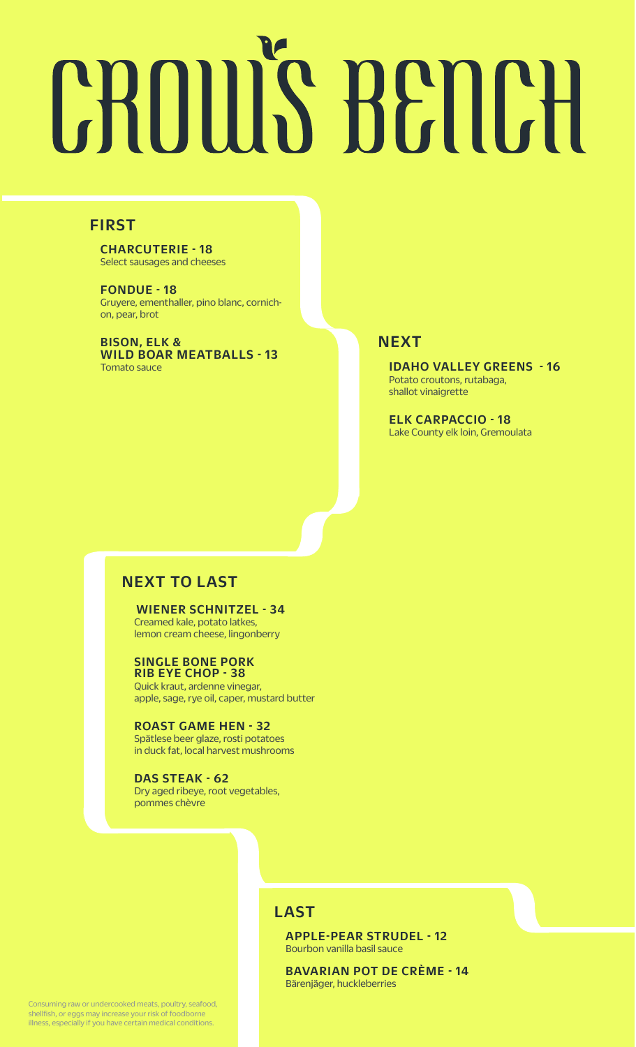# **CROUIS BENCH**

# FIRST

CHARCUTERIE - 18 Select sausages and cheeses

FONDUE - 18 Gruyere, ementhaller, pino blanc, cornichon, pear, brot

BISON, ELK & WILD BOAR MEATBALLS - 13 **Tomato sauce IDAHO VALLEY GREENS - 16** 

## **NEXT**

Potato croutons, rutabaga, shallot vinaigrette

ELK CARPACCIO - 18 Lake County elk loin, Gremoulata

# NEXT TO LAST

#### WIENER SCHNITZEL - 34

Creamed kale, potato latkes, lemon cream cheese, lingonberry

#### SINGLE BONE PORK RIB EYE CHOP - 38

Quick kraut, ardenne vinegar, apple, sage, rye oil, caper, mustard butter

ROAST GAME HEN - 32 Spätlese beer glaze, rosti potatoes in duck fat, local harvest mushrooms

DAS STEAK - 62 Dry aged ribeye, root vegetables, pommes chèvre

# **LAST**

APPLE-PEAR STRUDEL - 12 Bourbon vanilla basil sauce

BAVARIAN POT DE CRÈME - 14 Bärenjäger, huckleberries

Consuming raw or undercooked meats, poultry, seafood, shellfish, or eggs may increase your risk of foodborne illness, especially if you have certain medical conditions.